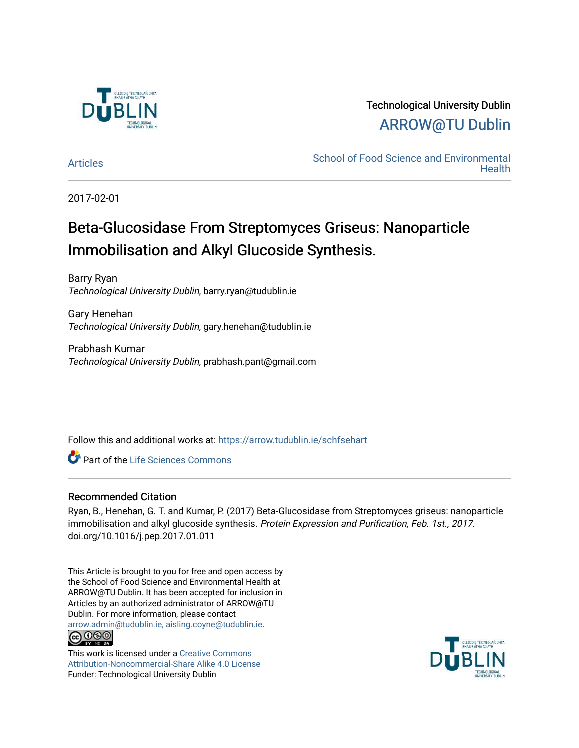

## Technological University Dublin [ARROW@TU Dublin](https://arrow.tudublin.ie/)

[Articles](https://arrow.tudublin.ie/schfsehart) **School of Food Science and Environmental Health** 

2017-02-01

# Beta-Glucosidase From Streptomyces Griseus: Nanoparticle Immobilisation and Alkyl Glucoside Synthesis.

Barry Ryan Technological University Dublin, barry.ryan@tudublin.ie

Gary Henehan Technological University Dublin, gary.henehan@tudublin.ie

Prabhash Kumar Technological University Dublin, prabhash.pant@gmail.com

Follow this and additional works at: [https://arrow.tudublin.ie/schfsehart](https://arrow.tudublin.ie/schfsehart?utm_source=arrow.tudublin.ie%2Fschfsehart%2F219&utm_medium=PDF&utm_campaign=PDFCoverPages) 

Part of the [Life Sciences Commons](http://network.bepress.com/hgg/discipline/1016?utm_source=arrow.tudublin.ie%2Fschfsehart%2F219&utm_medium=PDF&utm_campaign=PDFCoverPages) 

#### Recommended Citation

Ryan, B., Henehan, G. T. and Kumar, P. (2017) Beta-Glucosidase from Streptomyces griseus: nanoparticle immobilisation and alkyl glucoside synthesis. Protein Expression and Purification, Feb. 1st., 2017. doi.org/10.1016/j.pep.2017.01.011

This Article is brought to you for free and open access by the School of Food Science and Environmental Health at ARROW@TU Dublin. It has been accepted for inclusion in Articles by an authorized administrator of ARROW@TU Dublin. For more information, please contact [arrow.admin@tudublin.ie, aisling.coyne@tudublin.ie](mailto:arrow.admin@tudublin.ie,%20aisling.coyne@tudublin.ie). **@@@** 

This work is licensed under a [Creative Commons](http://creativecommons.org/licenses/by-nc-sa/4.0/) [Attribution-Noncommercial-Share Alike 4.0 License](http://creativecommons.org/licenses/by-nc-sa/4.0/) Funder: Technological University Dublin

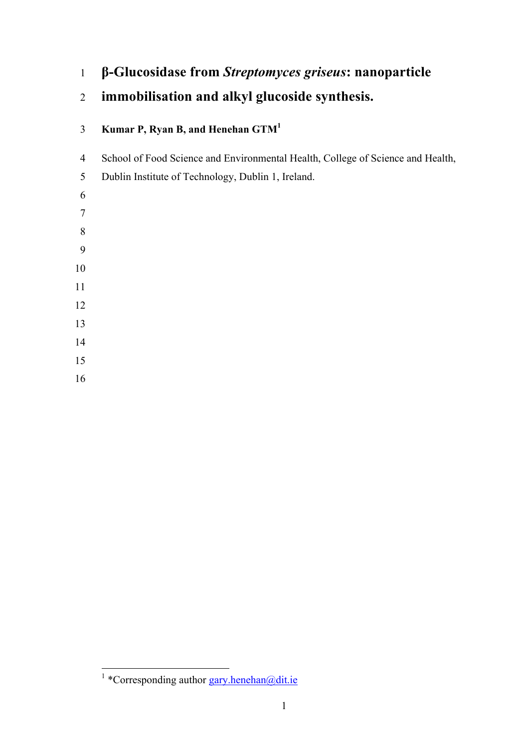## **β-Glucosidase from** *Streptomyces griseus***: nanoparticle**

# **immobilisation and alkyl glucoside synthesis.**

## **Kumar P, Ryan B, and Henehan GTM1**

- School of Food Science and Environmental Health, College of Science and Health,
- Dublin Institute of Technology, Dublin 1, Ireland.
- 
- 
- 
- 
- 
- 
- 
- 
- 
- 
- 
- 

 $\frac{1}{1}$ \*Corresponding author gary.henehan@dit.ie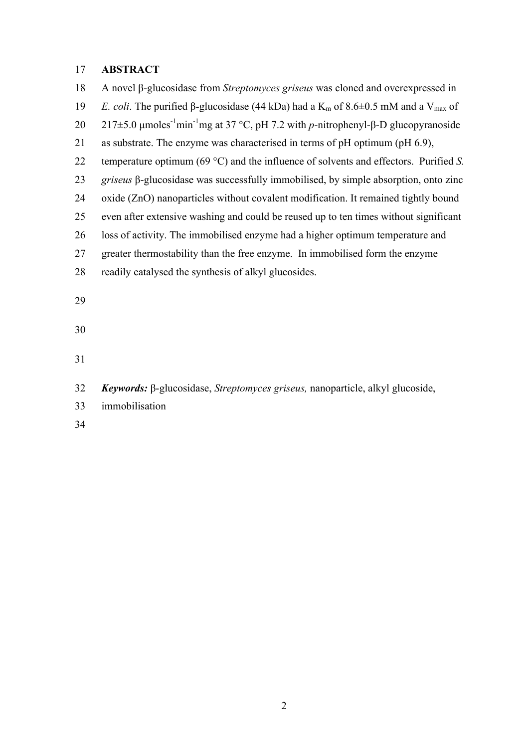#### **ABSTRACT**

 A novel β-glucosidase from *Streptomyces griseus* was cloned and overexpressed in *E. coli.* The purified β-glucosidase (44 kDa) had a K<sub>m</sub> of 8.6 $\pm$ 0.5 mM and a V<sub>max</sub> of 20 217±5.0 μmoles<sup>-1</sup>min<sup>-1</sup>mg at 37 °C, pH 7.2 with *p*-nitrophenyl-β-D glucopyranoside as substrate. The enzyme was characterised in terms of pH optimum (pH 6.9), temperature optimum (69 °C) and the influence of solvents and effectors. Purified *S. griseus* β-glucosidase was successfully immobilised, by simple absorption, onto zinc oxide (ZnO) nanoparticles without covalent modification. It remained tightly bound even after extensive washing and could be reused up to ten times without significant loss of activity. The immobilised enzyme had a higher optimum temperature and greater thermostability than the free enzyme. In immobilised form the enzyme readily catalysed the synthesis of alkyl glucosides. 

- 
- 

*Keywords:* β-glucosidase, *Streptomyces griseus,* nanoparticle, alkyl glucoside,

- immobilisation
-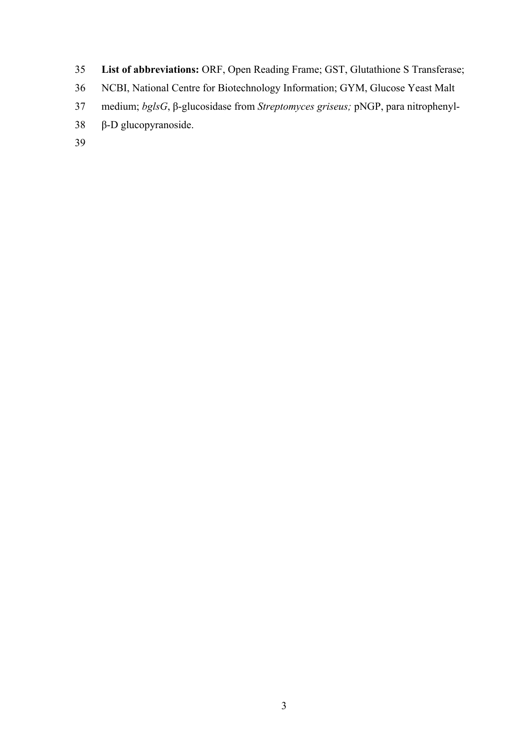- **List of abbreviations:** ORF, Open Reading Frame; GST, Glutathione S Transferase;
- NCBI, National Centre for Biotechnology Information; GYM, Glucose Yeast Malt
- medium; *bglsG*, β-glucosidase from *Streptomyces griseus;* pNGP, para nitrophenyl-
- β-D glucopyranoside.
-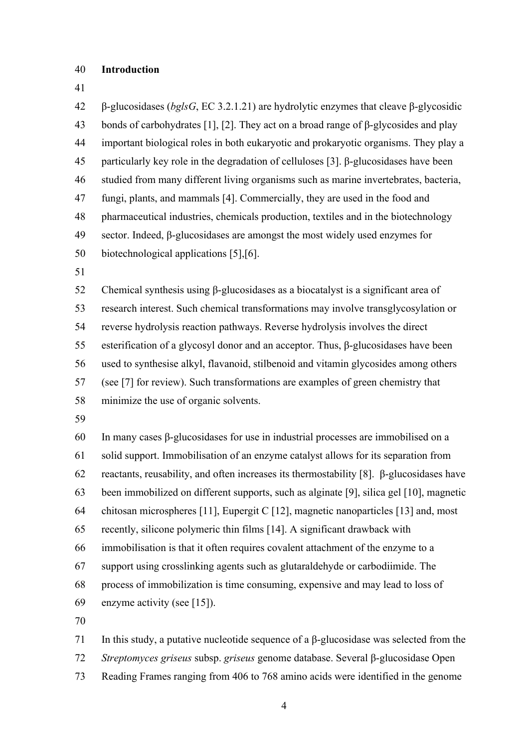#### **Introduction**

 β-glucosidases (*bglsG*, EC 3.2.1.21) are hydrolytic enzymes that cleave β-glycosidic bonds of carbohydrates [1], [2]. They act on a broad range of β-glycosides and play important biological roles in both eukaryotic and prokaryotic organisms. They play a particularly key role in the degradation of celluloses [3]. β-glucosidases have been studied from many different living organisms such as marine invertebrates, bacteria, fungi, plants, and mammals [4]. Commercially, they are used in the food and pharmaceutical industries, chemicals production, textiles and in the biotechnology sector. Indeed, β-glucosidases are amongst the most widely used enzymes for biotechnological applications [5],[6]. Chemical synthesis using β-glucosidases as a biocatalyst is a significant area of research interest. Such chemical transformations may involve transglycosylation or reverse hydrolysis reaction pathways. Reverse hydrolysis involves the direct esterification of a glycosyl donor and an acceptor. Thus, β-glucosidases have been used to synthesise alkyl, flavanoid, stilbenoid and vitamin glycosides among others (see [7] for review). Such transformations are examples of green chemistry that minimize the use of organic solvents. In many cases β-glucosidases for use in industrial processes are immobilised on a solid support. Immobilisation of an enzyme catalyst allows for its separation from reactants, reusability, and often increases its thermostability [8]. β-glucosidases have been immobilized on different supports, such as alginate [9], silica gel [10], magnetic chitosan microspheres [11], Eupergit C [12], magnetic nanoparticles [13] and, most recently, silicone polymeric thin films [14]. A significant drawback with immobilisation is that it often requires covalent attachment of the enzyme to a support using crosslinking agents such as glutaraldehyde or carbodiimide. The process of immobilization is time consuming, expensive and may lead to loss of enzyme activity (see [15]). 

 In this study, a putative nucleotide sequence of a β-glucosidase was selected from the *Streptomyces griseus* subsp. *griseus* genome database. Several β-glucosidase Open Reading Frames ranging from 406 to 768 amino acids were identified in the genome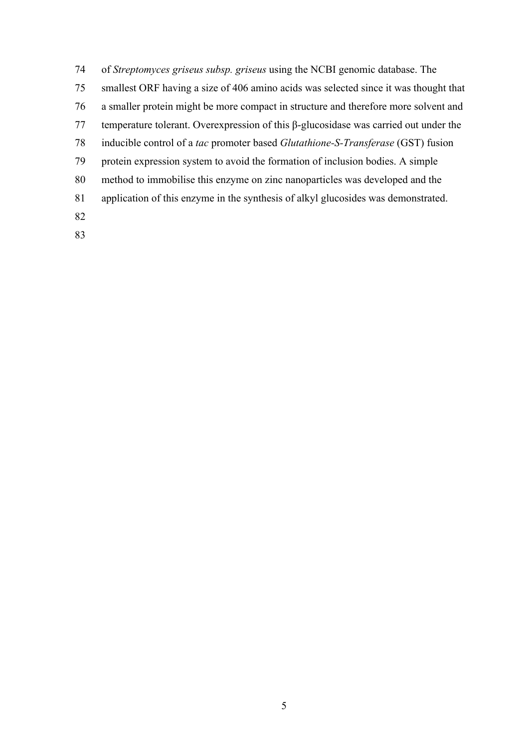- of *Streptomyces griseus subsp. griseus* using the NCBI genomic database. The smallest ORF having a size of 406 amino acids was selected since it was thought that a smaller protein might be more compact in structure and therefore more solvent and temperature tolerant. Overexpression of this β-glucosidase was carried out under the inducible control of a *tac* promoter based *Glutathione-S-Transferase* (GST) fusion protein expression system to avoid the formation of inclusion bodies. A simple method to immobilise this enzyme on zinc nanoparticles was developed and the application of this enzyme in the synthesis of alkyl glucosides was demonstrated.
-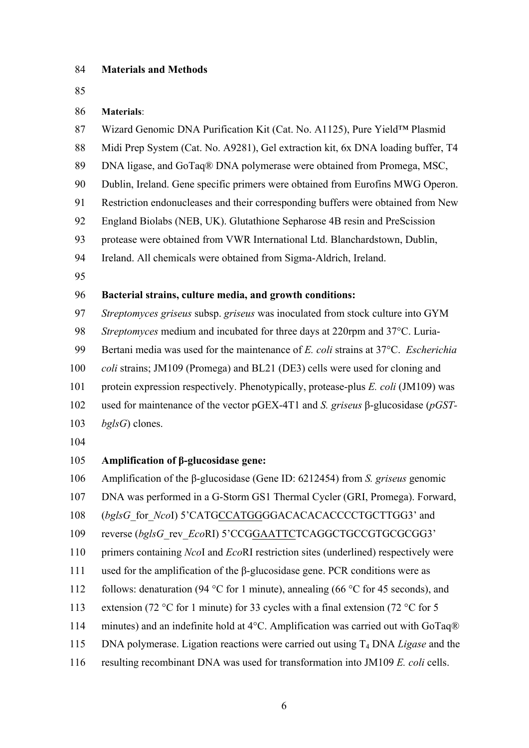#### **Materials and Methods**

#### **Materials**:

- Wizard Genomic DNA Purification Kit (Cat. No. A1125), Pure Yield™ Plasmid Midi Prep System (Cat. No. A9281), Gel extraction kit, 6x DNA loading buffer, T4 DNA ligase, and GoTaq® DNA polymerase were obtained from Promega, MSC, Dublin, Ireland. Gene specific primers were obtained from Eurofins MWG Operon. Restriction endonucleases and their corresponding buffers were obtained from New England Biolabs (NEB, UK). Glutathione Sepharose 4B resin and PreScission protease were obtained from VWR International Ltd. Blanchardstown, Dublin, Ireland. All chemicals were obtained from Sigma-Aldrich, Ireland. **Bacterial strains, culture media, and growth conditions:**  *Streptomyces griseus* subsp. *griseus* was inoculated from stock culture into GYM *Streptomyces* medium and incubated for three days at 220rpm and 37°C. Luria- Bertani media was used for the maintenance of *E. coli* strains at 37°C. *Escherichia coli* strains; JM109 (Promega) and BL21 (DE3) cells were used for cloning and protein expression respectively. Phenotypically, protease-plus *E. coli* (JM109) was used for maintenance of the vector pGEX-4T1 and *S. griseus* β-glucosidase (*pGST- bglsG*) clones. **Amplification of β-glucosidase gene:**  Amplification of the β-glucosidase (Gene ID: 6212454) from *S. griseus* genomic DNA was performed in a G-Storm GS1 Thermal Cycler (GRI, Promega). Forward, (*bglsG*\_for\_*Nco*I) 5'CATGCCATGGGGACACACACCCCTGCTTGG3' and reverse (*bglsG*\_rev\_*Eco*RI) 5'CCGGAATTCTCAGGCTGCCGTGCGCGG3' primers containing *Nco*I and *Eco*RI restriction sites (underlined) respectively were used for the amplification of the β-glucosidase gene. PCR conditions were as follows: denaturation (94 °C for 1 minute), annealing (66 °C for 45 seconds), and 113 extension (72 °C for 1 minute) for 33 cycles with a final extension (72 °C for 5 114 minutes) and an indefinite hold at 4°C. Amplification was carried out with GoTaq® DNA polymerase. Ligation reactions were carried out using T4 DNA *Ligase* and the
- resulting recombinant DNA was used for transformation into JM109 *E. coli* cells.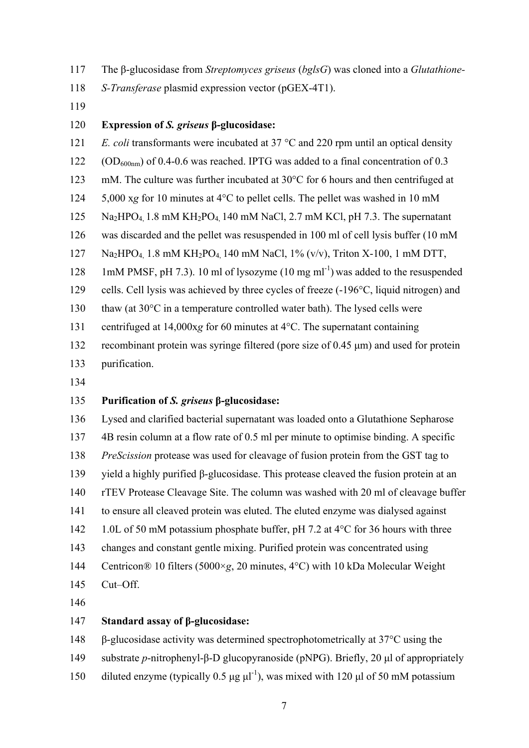- The β-glucosidase from *Streptomyces griseus* (*bglsG*) was cloned into a *Glutathione-*
- *S-Transferase* plasmid expression vector (pGEX-4T1).
- 

#### **Expression of** *S. griseus* **β-glucosidase:**

 *E. coli* transformants were incubated at 37 °C and 220 rpm until an optical density (OD<sub>600nm</sub>) of 0.4-0.6 was reached. IPTG was added to a final concentration of 0.3

- mM. The culture was further incubated at 30°C for 6 hours and then centrifuged at
- 5,000 x*g* for 10 minutes at 4°C to pellet cells. The pellet was washed in 10 mM
- Na2HPO4, 1.8 mM KH2PO4, 140 mM NaCl, 2.7 mM KCl, pH 7.3. The supernatant
- was discarded and the pellet was resuspended in 100 ml of cell lysis buffer (10 mM
- 127 Na<sub>2</sub>HPO<sub>4</sub> 1.8 mM KH<sub>2</sub>PO<sub>4</sub> 140 mM NaCl, 1% (v/v), Triton X-100, 1 mM DTT,
- 128 1mM PMSF, pH 7.3). 10 ml of lysozyme  $(10 \text{ mg ml}^{-1})$  was added to the resuspended
- cells. Cell lysis was achieved by three cycles of freeze (-196°C, liquid nitrogen) and
- thaw (at 30°C in a temperature controlled water bath). The lysed cells were
- centrifuged at 14,000x*g* for 60 minutes at 4°C. The supernatant containing
- recombinant protein was syringe filtered (pore size of 0.45 µm) and used for protein
- purification.
- 

### **Purification of** *S. griseus* **β-glucosidase:**

 Lysed and clarified bacterial supernatant was loaded onto a Glutathione Sepharose 4B resin column at a flow rate of 0.5 ml per minute to optimise binding. A specific *PreScission* protease was used for cleavage of fusion protein from the GST tag to yield a highly purified β-glucosidase. This protease cleaved the fusion protein at an rTEV Protease Cleavage Site. The column was washed with 20 ml of cleavage buffer to ensure all cleaved protein was eluted. The eluted enzyme was dialysed against 142 1.0L of 50 mM potassium phosphate buffer, pH 7.2 at 4°C for 36 hours with three changes and constant gentle mixing. Purified protein was concentrated using Centricon® 10 filters (5000×*g*, 20 minutes, 4°C) with 10 kDa Molecular Weight Cut–Off.

#### **Standard assay of β-glucosidase:**

β-glucosidase activity was determined spectrophotometrically at 37°C using the

- substrate *p*-nitrophenyl-β-D glucopyranoside (pNPG). Briefly, 20 µl of appropriately
- 150 diluted enzyme (typically 0.5  $\mu$ g  $\mu$ l<sup>-1</sup>), was mixed with 120  $\mu$ l of 50 mM potassium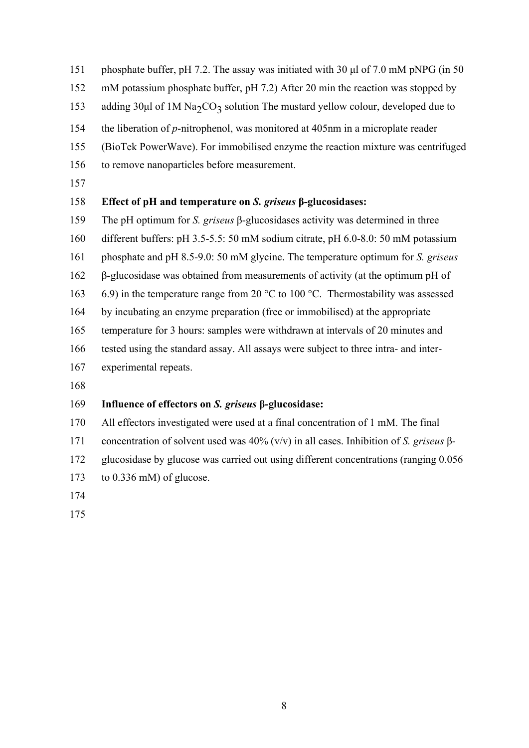phosphate buffer, pH 7.2. The assay was initiated with 30 µl of 7.0 mM pNPG (in 50

- mM potassium phosphate buffer, pH 7.2) After 20 min the reaction was stopped by
- 153 adding  $30\mu$  of 1M Na<sub>2</sub>CO<sub>3</sub> solution The mustard yellow colour, developed due to
- the liberation of *p*-nitrophenol, was monitored at 405nm in a microplate reader
- (BioTek PowerWave). For immobilised enzyme the reaction mixture was centrifuged
- to remove nanoparticles before measurement.
- 

### **Effect of pH and temperature on** *S. griseus* **β-glucosidases:**

- The pH optimum for *S. griseus* β-glucosidases activity was determined in three
- different buffers: pH 3.5-5.5: 50 mM sodium citrate, pH 6.0-8.0: 50 mM potassium
- phosphate and pH 8.5-9.0: 50 mM glycine. The temperature optimum for *S. griseus*
- β-glucosidase was obtained from measurements of activity (at the optimum pH of
- 6.9) in the temperature range from 20 °C to 100 °C. Thermostability was assessed
- by incubating an enzyme preparation (free or immobilised) at the appropriate
- temperature for 3 hours: samples were withdrawn at intervals of 20 minutes and
- tested using the standard assay. All assays were subject to three intra- and inter-
- experimental repeats.
- 

## **Influence of effectors on** *S. griseus* **β-glucosidase:**

- All effectors investigated were used at a final concentration of 1 mM. The final
- concentration of solvent used was 40% (v/v) in all cases. Inhibition of *S. griseus* β-
- glucosidase by glucose was carried out using different concentrations (ranging 0.056
- to 0.336 mM) of glucose.
- 
-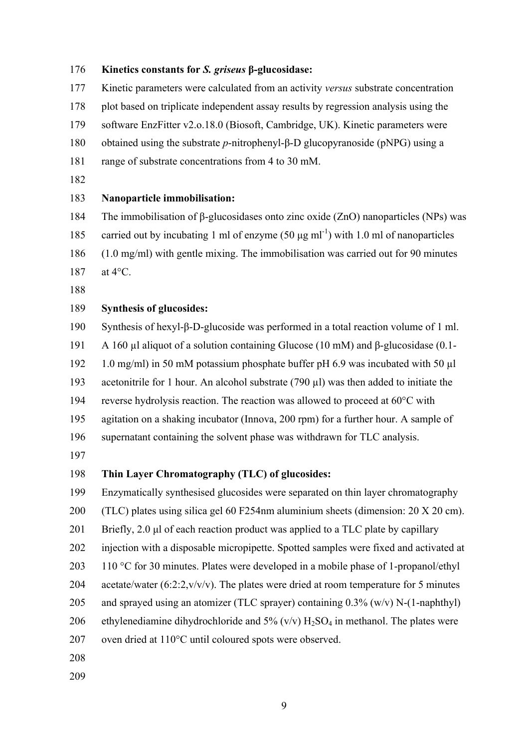#### **Kinetics constants for** *S. griseus* **β-glucosidase:**

 Kinetic parameters were calculated from an activity *versus* substrate concentration plot based on triplicate independent assay results by regression analysis using the software EnzFitter v2.o.18.0 (Biosoft, Cambridge, UK). Kinetic parameters were obtained using the substrate *p*-nitrophenyl-β-D glucopyranoside (pNPG) using a range of substrate concentrations from 4 to 30 mM. **Nanoparticle immobilisation:**  The immobilisation of β-glucosidases onto zinc oxide (ZnO) nanoparticles (NPs) was 185 carried out by incubating 1 ml of enzyme  $(50 \mu g \text{ ml}^{-1})$  with 1.0 ml of nanoparticles (1.0 mg/ml) with gentle mixing. The immobilisation was carried out for 90 minutes at 4°C. 

#### **Synthesis of glucosides:**

Synthesis of hexyl-β-D-glucoside was performed in a total reaction volume of 1 ml.

A 160 µl aliquot of a solution containing Glucose (10 mM) and β-glucosidase (0.1-

1.0 mg/ml) in 50 mM potassium phosphate buffer pH 6.9 was incubated with 50 µl

193 acetonitrile for 1 hour. An alcohol substrate (790 µl) was then added to initiate the

reverse hydrolysis reaction. The reaction was allowed to proceed at 60°C with

agitation on a shaking incubator (Innova, 200 rpm) for a further hour. A sample of

supernatant containing the solvent phase was withdrawn for TLC analysis.

#### **Thin Layer Chromatography (TLC) of glucosides:**

Enzymatically synthesised glucosides were separated on thin layer chromatography

(TLC) plates using silica gel 60 F254nm aluminium sheets (dimension: 20 X 20 cm).

201 Briefly, 2.0 µl of each reaction product was applied to a TLC plate by capillary

injection with a disposable micropipette. Spotted samples were fixed and activated at

203 110 °C for 30 minutes. Plates were developed in a mobile phase of 1-propanol/ethyl

204 acetate/water  $(6:2:2,v/v/v)$ . The plates were dried at room temperature for 5 minutes

and sprayed using an atomizer (TLC sprayer) containing 0.3% (w/v) N-(1-naphthyl)

206 ethylenediamine dihydrochloride and  $5\%$  (v/v)  $H_2SO_4$  in methanol. The plates were

oven dried at 110°C until coloured spots were observed.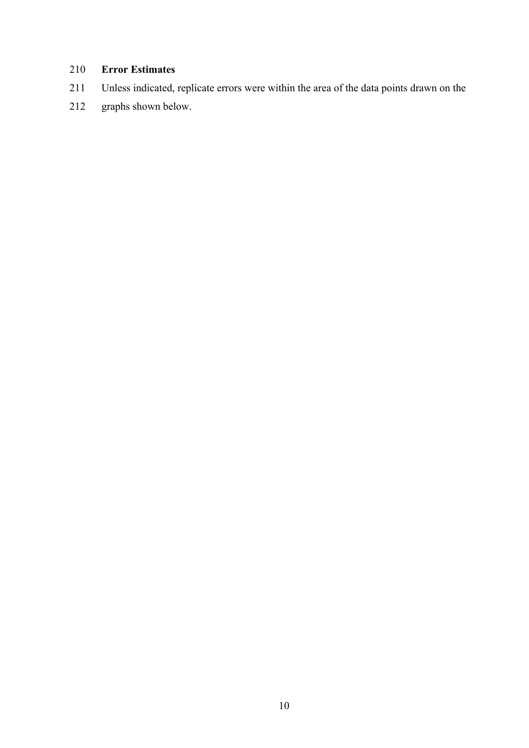## **Error Estimates**

- Unless indicated, replicate errors were within the area of the data points drawn on the
- graphs shown below.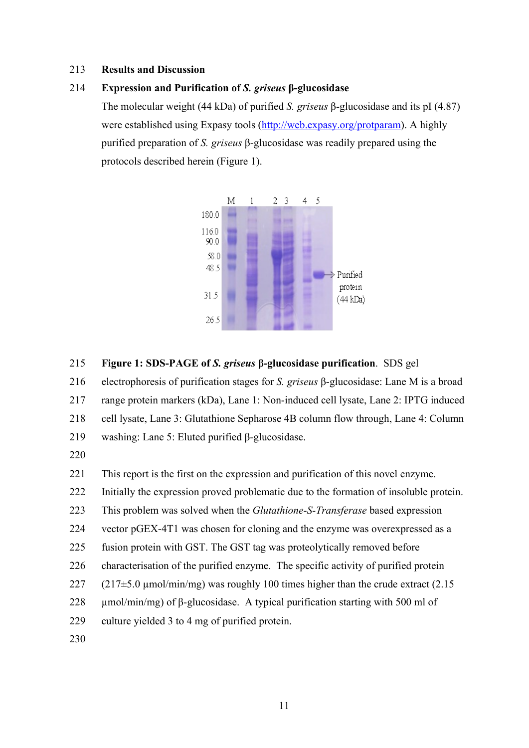#### **Results and Discussion**

#### **Expression and Purification of** *S. griseus* **β-glucosidase**

The molecular weight (44 kDa) of purified *S. griseus* β-glucosidase and its pI (4.87) were established using Expasy tools (http://web.expasy.org/protparam). A highly purified preparation of *S. griseus* β-glucosidase was readily prepared using the protocols described herein (Figure 1).



#### **Figure 1: SDS-PAGE of** *S. griseus* **β-glucosidase purification**. SDS gel

electrophoresis of purification stages for *S. griseus* β-glucosidase: Lane M is a broad

range protein markers (kDa), Lane 1: Non-induced cell lysate, Lane 2: IPTG induced

cell lysate, Lane 3: Glutathione Sepharose 4B column flow through, Lane 4: Column

washing: Lane 5: Eluted purified β-glucosidase.

This report is the first on the expression and purification of this novel enzyme.

Initially the expression proved problematic due to the formation of insoluble protein.

This problem was solved when the *Glutathione-S-Transferase* based expression

vector pGEX-4T1 was chosen for cloning and the enzyme was overexpressed as a

- fusion protein with GST. The GST tag was proteolytically removed before
- characterisation of the purified enzyme. The specific activity of purified protein
- 227 (217 $\pm$ 5.0 µmol/min/mg) was roughly 100 times higher than the crude extract (2.15
- 228  $\mu$ mol/min/mg) of β-glucosidase. A typical purification starting with 500 ml of
- culture yielded 3 to 4 mg of purified protein.
-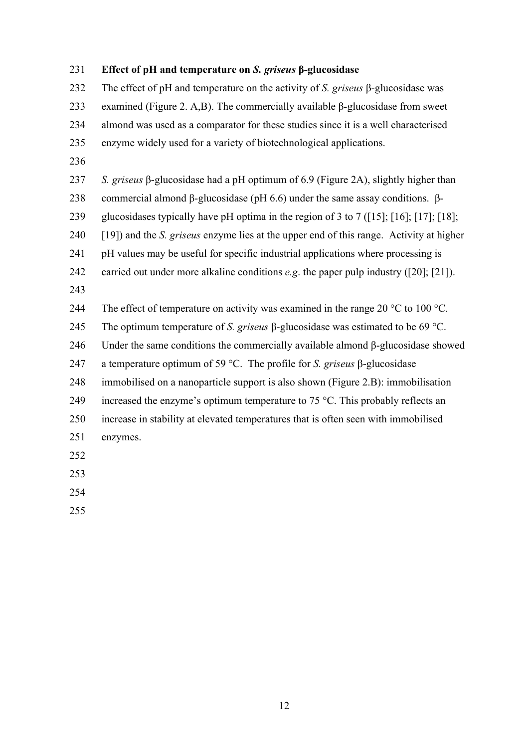# **Effect of pH and temperature on** *S. griseus* **β-glucosidase** The effect of pH and temperature on the activity of *S. griseus* β-glucosidase was examined (Figure 2. A,B). The commercially available β-glucosidase from sweet almond was used as a comparator for these studies since it is a well characterised enzyme widely used for a variety of biotechnological applications. *S. griseus* β-glucosidase had a pH optimum of 6.9 (Figure 2A), slightly higher than commercial almond β-glucosidase (pH 6.6) under the same assay conditions. β- glucosidases typically have pH optima in the region of 3 to 7 ([15]; [16]; [17]; [18]; [19]) and the *S. griseus* enzyme lies at the upper end of this range. Activity at higher pH values may be useful for specific industrial applications where processing is carried out under more alkaline conditions *e.g*. the paper pulp industry ([20]; [21]). 244 The effect of temperature on activity was examined in the range 20 °C to 100 °C. The optimum temperature of *S. griseus* β-glucosidase was estimated to be 69 °C. Under the same conditions the commercially available almond β-glucosidase showed a temperature optimum of 59 °C. The profile for *S. griseus* β-glucosidase immobilised on a nanoparticle support is also shown (Figure 2.B): immobilisation 249 increased the enzyme's optimum temperature to 75  $^{\circ}$ C. This probably reflects an increase in stability at elevated temperatures that is often seen with immobilised enzymes.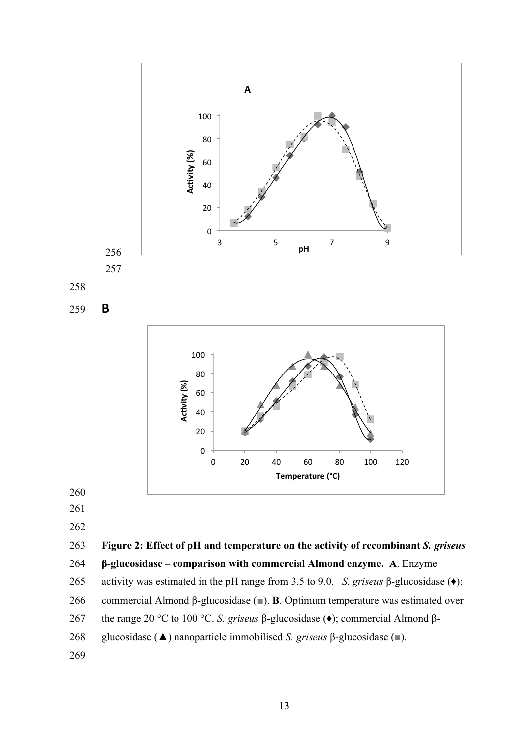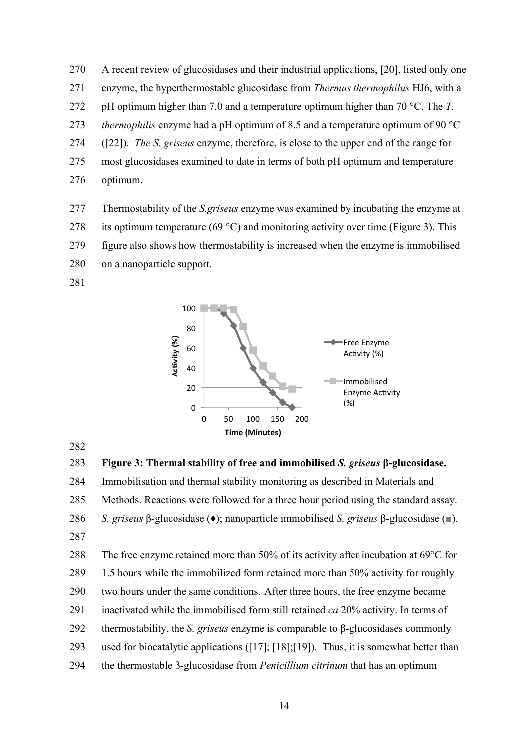A recent review of glucosidases and their industrial applications, [20], listed only one enzyme, the hyperthermostable glucosidase from *Thermus thermophilus* HJ6, with a pH optimum higher than 7.0 and a temperature optimum higher than 70 °C. The *T. thermophilis* enzyme had a pH optimum of 8.5 and a temperature optimum of 90 °C ([22]). *The S. griseus* enzyme, therefore, is close to the upper end of the range for most glucosidases examined to date in terms of both pH optimum and temperature optimum.

- Thermostability of the *S.griseus* enzyme was examined by incubating the enzyme at
- 278 its optimum temperature (69 °C) and monitoring activity over time (Figure 3). This
- figure also shows how thermostability is increased when the enzyme is immobilised
- on a nanoparticle support.
- 



```
283 Figure 3: Thermal stability of free and immobilised S. griseus β-glucosidase.
```
Immobilisation and thermal stability monitoring as described in Materials and

Methods. Reactions were followed for a three hour period using the standard assay.

*S. griseus* β-glucosidase (♦); nanoparticle immobilised *S. griseus* β-glucosidase (■).

 The free enzyme retained more than 50% of its activity after incubation at 69°C for 1.5 hours while the immobilized form retained more than 50% activity for roughly two hours under the same conditions. After three hours, the free enzyme became inactivated while the immobilised form still retained *ca* 20% activity. In terms of thermostability, the *S. griseus* enzyme is comparable to β-glucosidases commonly used for biocatalytic applications ([17]; [18];[19]). Thus, it is somewhat better than the thermostable β-glucosidase from *Penicillium citrinum* that has an optimum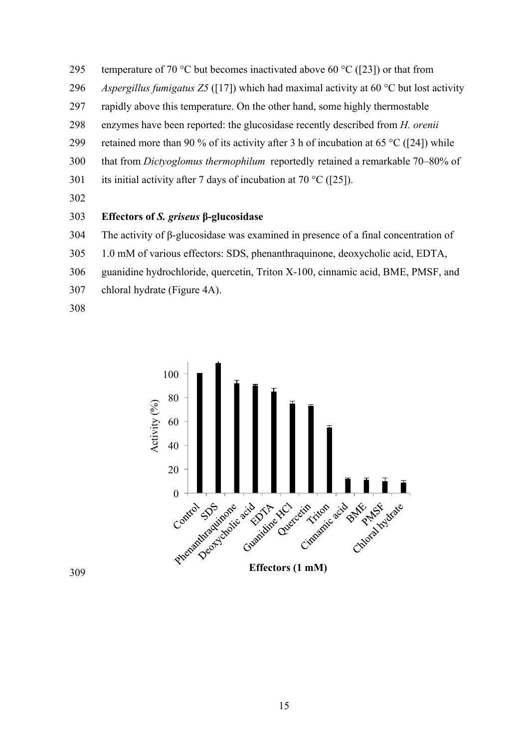- 295 temperature of 70 °C but becomes inactivated above 60 °C ([23]) or that from
- *Aspergillus fumigatus Z5* ([17]) which had maximal activity at 60 °C but lost activity
- rapidly above this temperature. On the other hand, some highly thermostable
- enzymes have been reported: the glucosidase recently described from *H. orenii*
- 299 retained more than 90 % of its activity after 3 h of incubation at 65 °C ([24]) while
- that from *Dictyoglomus thermophilum* reportedly retained a remarkable 70–80% of
- 301 its initial activity after 7 days of incubation at 70 °C ([25]).
- 

#### **Effectors of** *S. griseus* **β-glucosidase**

- The activity of β-glucosidase was examined in presence of a final concentration of
- 1.0 mM of various effectors: SDS, phenanthraquinone, deoxycholic acid, EDTA,
- guanidine hydrochloride, quercetin, Triton X-100, cinnamic acid, BME, PMSF, and
- chloral hydrate (Figure 4A).
- 

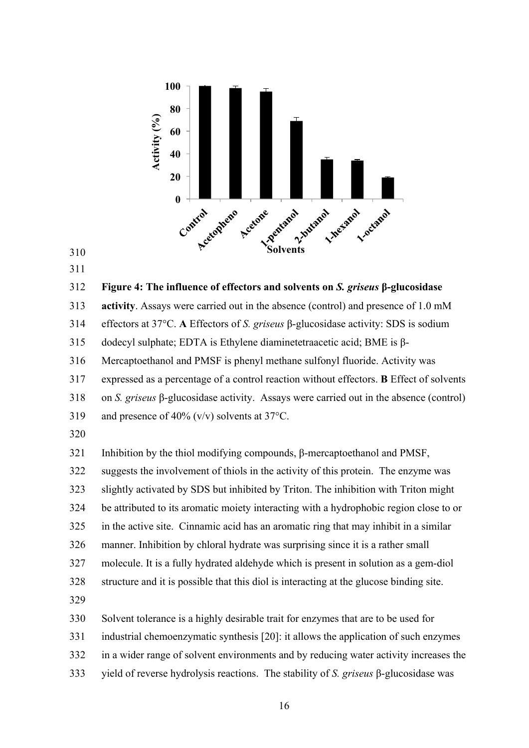

 

#### **Figure 4: The influence of effectors and solvents on** *S. griseus* **β-glucosidase**

**activity**. Assays were carried out in the absence (control) and presence of 1.0 mM

effectors at 37°C. **A** Effectors of *S. griseus* β-glucosidase activity: SDS is sodium

dodecyl sulphate; EDTA is Ethylene diaminetetraacetic acid; BME is β-

Mercaptoethanol and PMSF is phenyl methane sulfonyl fluoride. Activity was

expressed as a percentage of a control reaction without effectors. **B** Effect of solvents

on *S. griseus* β-glucosidase activity.Assays were carried out in the absence (control)

- and presence of 40% (v/v) solvents at 37°C.
- 

 Inhibition by the thiol modifying compounds, β-mercaptoethanol and PMSF, suggests the involvement of thiols in the activity of this protein. The enzyme was slightly activated by SDS but inhibited by Triton. The inhibition with Triton might be attributed to its aromatic moiety interacting with a hydrophobic region close to or in the active site. Cinnamic acid has an aromatic ring that may inhibit in a similar manner. Inhibition by chloral hydrate was surprising since it is a rather small molecule. It is a fully hydrated aldehyde which is present in solution as a gem-diol structure and it is possible that this diol is interacting at the glucose binding site. Solvent tolerance is a highly desirable trait for enzymes that are to be used for industrial chemoenzymatic synthesis [20]: it allows the application of such enzymes in a wider range of solvent environments and by reducing water activity increases the

yield of reverse hydrolysis reactions. The stability of *S. griseus* β-glucosidase was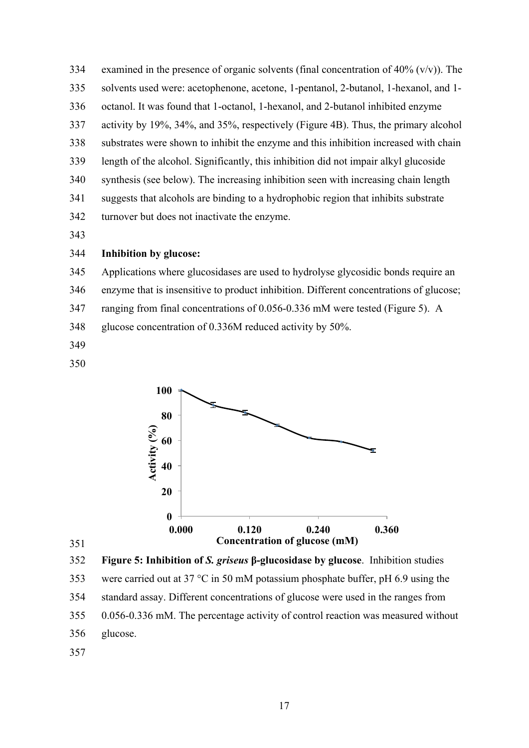334 examined in the presence of organic solvents (final concentration of  $40\%$  (v/v)). The solvents used were: acetophenone, acetone, 1-pentanol, 2-butanol, 1-hexanol, and 1- octanol. It was found that 1-octanol, 1-hexanol, and 2-butanol inhibited enzyme activity by 19%, 34%, and 35%, respectively (Figure 4B). Thus, the primary alcohol substrates were shown to inhibit the enzyme and this inhibition increased with chain length of the alcohol. Significantly, this inhibition did not impair alkyl glucoside synthesis (see below). The increasing inhibition seen with increasing chain length suggests that alcohols are binding to a hydrophobic region that inhibits substrate turnover but does not inactivate the enzyme.

#### **Inhibition by glucose:**

- Applications where glucosidases are used to hydrolyse glycosidic bonds require an
- enzyme that is insensitive to product inhibition. Different concentrations of glucose;
- ranging from final concentrations of 0.056-0.336 mM were tested (Figure 5). A
- glucose concentration of 0.336M reduced activity by 50%.
- 
- 





were carried out at 37 °C in 50 mM potassium phosphate buffer, pH 6.9 using the

standard assay. Different concentrations of glucose were used in the ranges from

0.056-0.336 mM. The percentage activity of control reaction was measured without

glucose.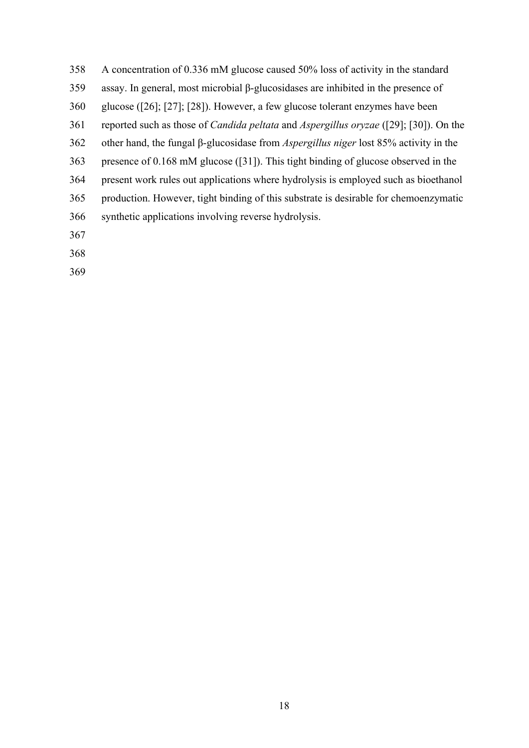- A concentration of 0.336 mM glucose caused 50% loss of activity in the standard
- assay. In general, most microbial β-glucosidases are inhibited in the presence of
- glucose ([26]; [27]; [28]). However, a few glucose tolerant enzymes have been
- reported such as those of *Candida peltata* and *Aspergillus oryzae* ([29]; [30]). On the
- other hand, the fungal β-glucosidase from *Aspergillus niger* lost 85% activity in the
- presence of 0.168 mM glucose ([31]). This tight binding of glucose observed in the
- present work rules out applications where hydrolysis is employed such as bioethanol
- production. However, tight binding of this substrate is desirable for chemoenzymatic
- synthetic applications involving reverse hydrolysis.
- 
- 
-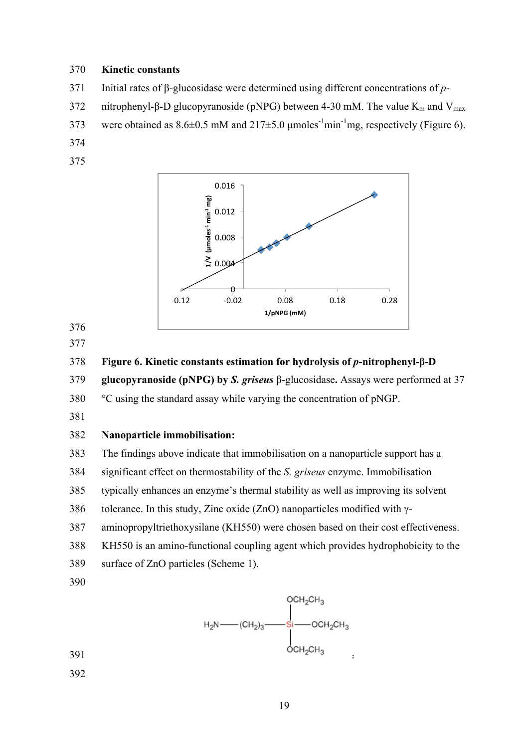#### **Kinetic constants**

- Initial rates of β-glucosidase were determined using different concentrations of *p*-
- 372 nitrophenyl-β-D glucopyranoside (pNPG) between 4-30 mM. The value  $K_m$  and  $V_{max}$
- 373 were obtained as  $8.6 \pm 0.5$  mM and  $217 \pm 5.0$  µmoles<sup>-1</sup>min<sup>-1</sup>mg, respectively (Figure 6).
- 
- 



- 
- 

**Figure 6. Kinetic constants estimation for hydrolysis of** *p***-nitrophenyl-β-D** 

**glucopyranoside (pNPG) by** *S. griseus* β-glucosidase**.** Assays were performed at 37

°C using the standard assay while varying the concentration of pNGP.

#### **Nanoparticle immobilisation:**

The findings above indicate that immobilisation on a nanoparticle support has a

significant effect on thermostability of the *S. griseus* enzyme. Immobilisation

typically enhances an enzyme's thermal stability as well as improving its solvent

tolerance. In this study, Zinc oxide (ZnO) nanoparticles modified with γ-

aminopropyltriethoxysilane (KH550) were chosen based on their cost effectiveness.

KH550 is an amino-functional coupling agent which provides hydrophobicity to the

- surface of ZnO particles (Scheme 1).
- 

$$
H_{2}N \longrightarrow CH_{2})_{3} \longrightarrow \begin{array}{c} OCH_{2}CH_{3} \\ \vdots \\ OCH_{2}CH_{3} \\ \vdots \\ OCH_{2}CH_{3} \\ \vdots \end{array}.
$$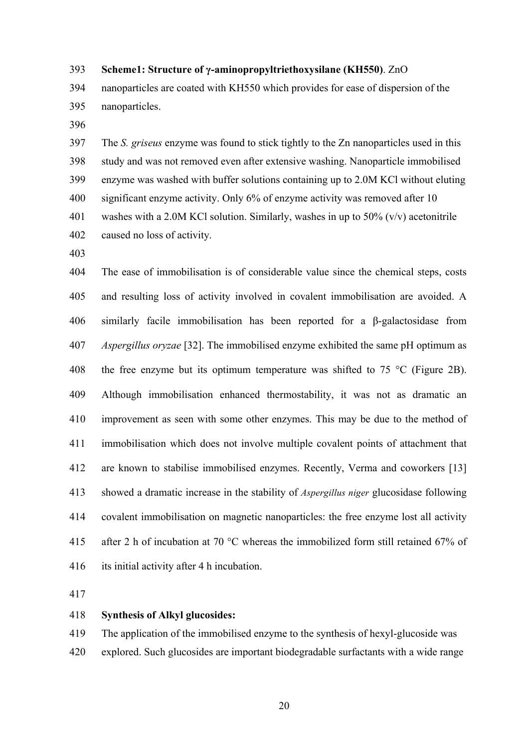#### **Scheme1: Structure of γ-aminopropyltriethoxysilane (KH550)**. ZnO

 nanoparticles are coated with KH550 which provides for ease of dispersion of the nanoparticles.

 The *S. griseus* enzyme was found to stick tightly to the Zn nanoparticles used in this study and was not removed even after extensive washing. Nanoparticle immobilised enzyme was washed with buffer solutions containing up to 2.0M KCl without eluting significant enzyme activity. Only 6% of enzyme activity was removed after 10 washes with a 2.0M KCl solution. Similarly, washes in up to 50% (v/v) acetonitrile caused no loss of activity.

 The ease of immobilisation is of considerable value since the chemical steps, costs and resulting loss of activity involved in covalent immobilisation are avoided. A similarly facile immobilisation has been reported for a β-galactosidase from *Aspergillus oryzae* [32]. The immobilised enzyme exhibited the same pH optimum as 408 the free enzyme but its optimum temperature was shifted to  $75 \text{ °C}$  (Figure 2B). Although immobilisation enhanced thermostability, it was not as dramatic an improvement as seen with some other enzymes. This may be due to the method of immobilisation which does not involve multiple covalent points of attachment that are known to stabilise immobilised enzymes. Recently, Verma and coworkers [13] showed a dramatic increase in the stability of *Aspergillus niger* glucosidase following covalent immobilisation on magnetic nanoparticles: the free enzyme lost all activity 415 after 2 h of incubation at 70 °C whereas the immobilized form still retained 67% of its initial activity after 4 h incubation.

#### **Synthesis of Alkyl glucosides:**

The application of the immobilised enzyme to the synthesis of hexyl-glucoside was

explored. Such glucosides are important biodegradable surfactants with a wide range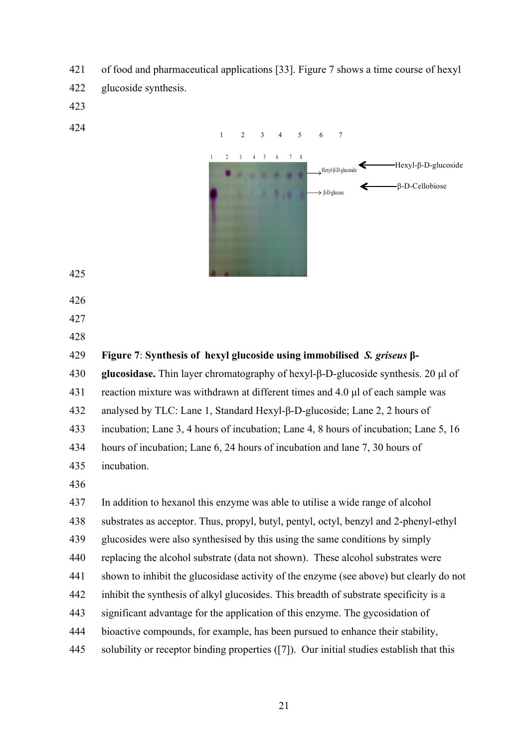- of food and pharmaceutical applications [33]. Figure 7 shows a time course of hexyl
- glucoside synthesis.
- 
- 



- 
- 
- 
- 

 **Figure 7**: **Synthesis of hexyl glucoside using immobilised** *S. griseus* **β- glucosidase.** Thin layer chromatography of hexyl-β-D-glucoside synthesis. 20 µl of reaction mixture was withdrawn at different times and 4.0 µl of each sample was

analysed by TLC: Lane 1, Standard Hexyl-β-D-glucoside; Lane 2, 2 hours of

incubation; Lane 3, 4 hours of incubation; Lane 4, 8 hours of incubation; Lane 5, 16

hours of incubation; Lane 6, 24 hours of incubation and lane 7, 30 hours of

- incubation.
- 

In addition to hexanol this enzyme was able to utilise a wide range of alcohol

- substrates as acceptor. Thus, propyl, butyl, pentyl, octyl, benzyl and 2-phenyl-ethyl
- glucosides were also synthesised by this using the same conditions by simply
- replacing the alcohol substrate (data not shown). These alcohol substrates were
- shown to inhibit the glucosidase activity of the enzyme (see above) but clearly do not
- inhibit the synthesis of alkyl glucosides. This breadth of substrate specificity is a
- significant advantage for the application of this enzyme. The gycosidation of
- bioactive compounds, for example, has been pursued to enhance their stability,
- solubility or receptor binding properties ([7]). Our initial studies establish that this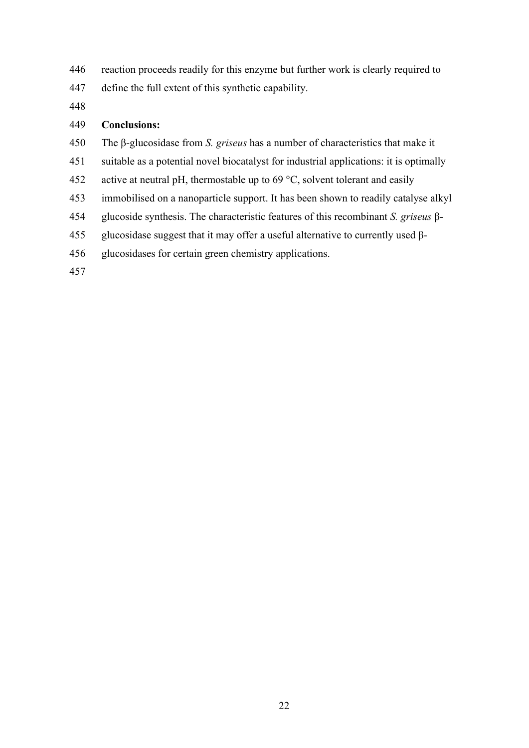- reaction proceeds readily for this enzyme but further work is clearly required to
- define the full extent of this synthetic capability.
- 

#### **Conclusions:**

- The β-glucosidase from *S. griseus* has a number of characteristics that make it
- suitable as a potential novel biocatalyst for industrial applications: it is optimally
- 452 active at neutral pH, thermostable up to  $69^{\circ}$ C, solvent tolerant and easily
- immobilised on a nanoparticle support. It has been shown to readily catalyse alkyl
- glucoside synthesis. The characteristic features of this recombinant *S. griseus* β-
- 455 glucosidase suggest that it may offer a useful alternative to currently used  $β$ -
- glucosidases for certain green chemistry applications.
-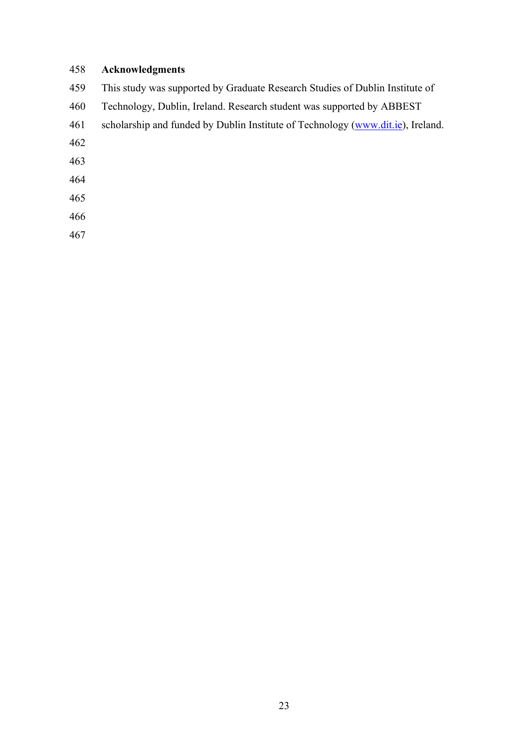### **Acknowledgments**

- This study was supported by Graduate Research Studies of Dublin Institute of
- Technology, Dublin, Ireland. Research student was supported by ABBEST
- scholarship and funded by Dublin Institute of Technology (www.dit.ie), Ireland.
- 
- 
- 
- 
- 
-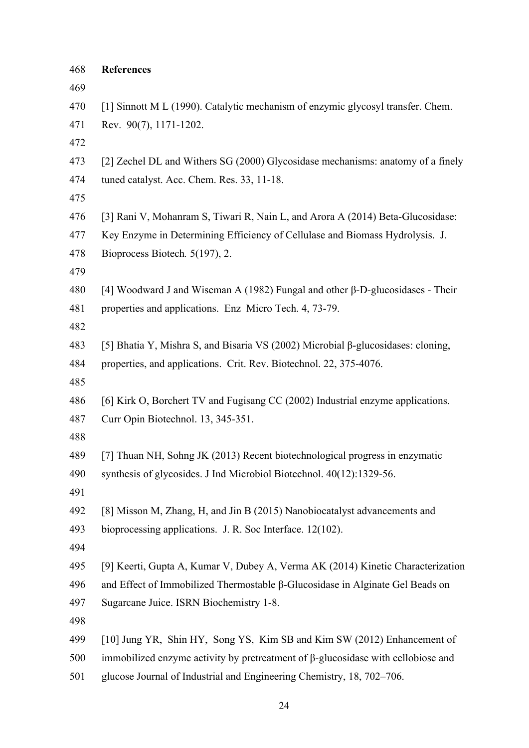| 468 | <b>References</b>                                                                       |
|-----|-----------------------------------------------------------------------------------------|
| 469 |                                                                                         |
| 470 | [1] Sinnott M L (1990). Catalytic mechanism of enzymic glycosyl transfer. Chem.         |
| 471 | Rev. 90(7), 1171-1202.                                                                  |
| 472 |                                                                                         |
| 473 | [2] Zechel DL and Withers SG (2000) Glycosidase mechanisms: anatomy of a finely         |
| 474 | tuned catalyst. Acc. Chem. Res. 33, 11-18.                                              |
| 475 |                                                                                         |
| 476 | [3] Rani V, Mohanram S, Tiwari R, Nain L, and Arora A (2014) Beta-Glucosidase:          |
| 477 | Key Enzyme in Determining Efficiency of Cellulase and Biomass Hydrolysis. J.            |
| 478 | Bioprocess Biotech. 5(197), 2.                                                          |
| 479 |                                                                                         |
| 480 | [4] Woodward J and Wiseman A (1982) Fungal and other $\beta$ -D-glucosidases - Their    |
| 481 | properties and applications. Enz Micro Tech. 4, 73-79.                                  |
| 482 |                                                                                         |
| 483 | [5] Bhatia Y, Mishra S, and Bisaria VS (2002) Microbial $\beta$ -glucosidases: cloning, |
| 484 | properties, and applications. Crit. Rev. Biotechnol. 22, 375-4076.                      |
| 485 |                                                                                         |
| 486 | [6] Kirk O, Borchert TV and Fugisang CC (2002) Industrial enzyme applications.          |
| 487 | Curr Opin Biotechnol. 13, 345-351.                                                      |
| 488 |                                                                                         |
| 489 | [7] Thuan NH, Sohng JK (2013) Recent biotechnological progress in enzymatic             |
| 490 | synthesis of glycosides. J Ind Microbiol Biotechnol. 40(12):1329-56.                    |
| 491 |                                                                                         |
| 492 | [8] Misson M, Zhang, H, and Jin B (2015) Nanobiocatalyst advancements and               |
| 493 | bioprocessing applications. J. R. Soc Interface. 12(102).                               |
| 494 |                                                                                         |
| 495 | [9] Keerti, Gupta A, Kumar V, Dubey A, Verma AK (2014) Kinetic Characterization         |
| 496 | and Effect of Immobilized Thermostable β-Glucosidase in Alginate Gel Beads on           |
| 497 | Sugarcane Juice. ISRN Biochemistry 1-8.                                                 |
| 498 |                                                                                         |
| 499 | [10] Jung YR, Shin HY, Song YS, Kim SB and Kim SW (2012) Enhancement of                 |
| 500 | immobilized enzyme activity by pretreatment of $\beta$ -glucosidase with cellobiose and |
| 501 | glucose Journal of Industrial and Engineering Chemistry, 18, 702-706.                   |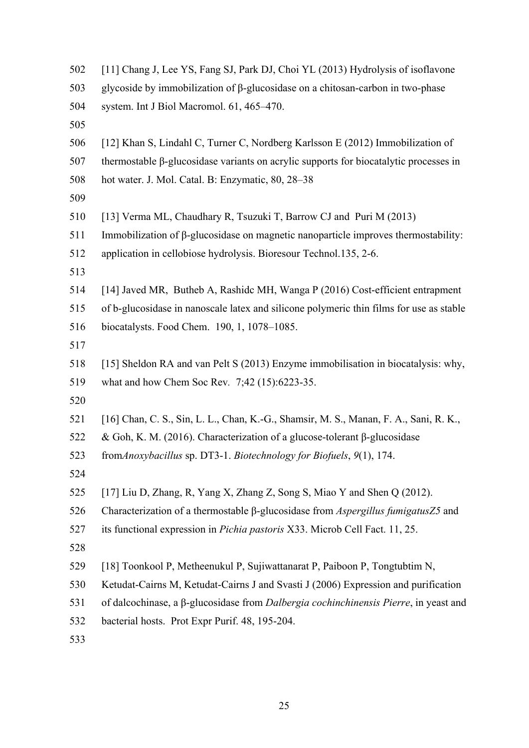| 502 | [11] Chang J, Lee YS, Fang SJ, Park DJ, Choi YL (2013) Hydrolysis of isoflavone                  |  |  |  |  |
|-----|--------------------------------------------------------------------------------------------------|--|--|--|--|
| 503 | glycoside by immobilization of $\beta$ -glucosidase on a chitosan-carbon in two-phase            |  |  |  |  |
| 504 | system. Int J Biol Macromol. 61, 465-470.                                                        |  |  |  |  |
| 505 |                                                                                                  |  |  |  |  |
| 506 | [12] Khan S, Lindahl C, Turner C, Nordberg Karlsson E (2012) Immobilization of                   |  |  |  |  |
| 507 | thermostable $\beta$ -glucosidase variants on acrylic supports for biocatalytic processes in     |  |  |  |  |
| 508 | hot water. J. Mol. Catal. B: Enzymatic, 80, 28-38                                                |  |  |  |  |
| 509 |                                                                                                  |  |  |  |  |
| 510 | [13] Verma ML, Chaudhary R, Tsuzuki T, Barrow CJ and Puri M (2013)                               |  |  |  |  |
| 511 | Immobilization of $\beta$ -glucosidase on magnetic nanoparticle improves thermostability:        |  |  |  |  |
| 512 | application in cellobiose hydrolysis. Bioresour Technol.135, 2-6.                                |  |  |  |  |
| 513 |                                                                                                  |  |  |  |  |
| 514 | [14] Javed MR, Butheb A, Rashidc MH, Wanga P (2016) Cost-efficient entrapment                    |  |  |  |  |
| 515 | of b-glucosidase in nanoscale latex and silicone polymeric thin films for use as stable          |  |  |  |  |
| 516 | biocatalysts. Food Chem. 190, 1, 1078-1085.                                                      |  |  |  |  |
| 517 |                                                                                                  |  |  |  |  |
| 518 | [15] Sheldon RA and van Pelt S (2013) Enzyme immobilisation in biocatalysis: why,                |  |  |  |  |
| 519 | what and how Chem Soc Rev. 7;42 (15):6223-35.                                                    |  |  |  |  |
| 520 |                                                                                                  |  |  |  |  |
| 521 | [16] Chan, C. S., Sin, L. L., Chan, K.-G., Shamsir, M. S., Manan, F. A., Sani, R. K.,            |  |  |  |  |
| 522 | & Goh, K. M. (2016). Characterization of a glucose-tolerant $\beta$ -glucosidase                 |  |  |  |  |
| 523 | fromAnoxybacillus sp. DT3-1. Biotechnology for Biofuels, 9(1), 174.                              |  |  |  |  |
| 524 |                                                                                                  |  |  |  |  |
| 525 | [17] Liu D, Zhang, R, Yang X, Zhang Z, Song S, Miao Y and Shen Q (2012).                         |  |  |  |  |
| 526 | Characterization of a thermostable $\beta$ -glucosidase from <i>Aspergillus fumigatus</i> Z5 and |  |  |  |  |
| 527 | its functional expression in Pichia pastoris X33. Microb Cell Fact. 11, 25.                      |  |  |  |  |
| 528 |                                                                                                  |  |  |  |  |
| 529 | [18] Toonkool P, Metheenukul P, Sujiwattanarat P, Paiboon P, Tongtubtim N,                       |  |  |  |  |
| 530 | Ketudat-Cairns M, Ketudat-Cairns J and Svasti J (2006) Expression and purification               |  |  |  |  |
| 531 | of dalcochinase, a β-glucosidase from Dalbergia cochinchinensis Pierre, in yeast and             |  |  |  |  |
| 532 | bacterial hosts. Prot Expr Purif. 48, 195-204.                                                   |  |  |  |  |
| 533 |                                                                                                  |  |  |  |  |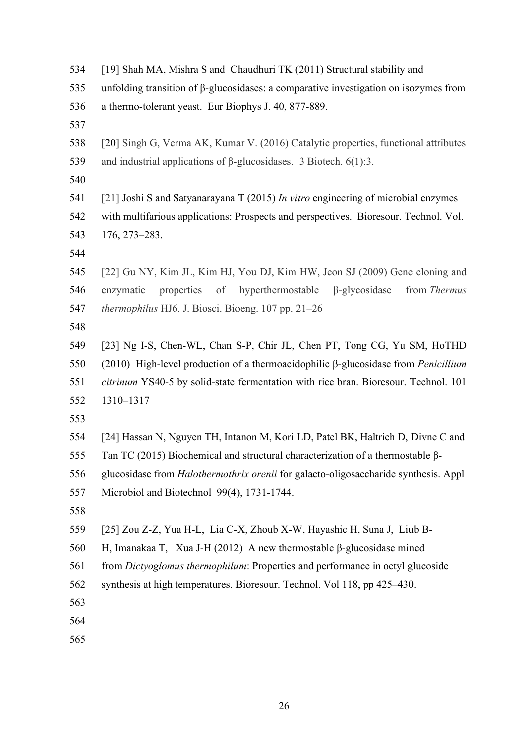| 534 |  |  |  |  |  | [19] Shah MA, Mishra S and Chaudhuri TK (2011) Structural stability and |
|-----|--|--|--|--|--|-------------------------------------------------------------------------|
|-----|--|--|--|--|--|-------------------------------------------------------------------------|

- unfolding transition of β-glucosidases: a comparative investigation on isozymes from
- a thermo-tolerant yeast. Eur Biophys J. 40, 877-889.
- 
- [20] Singh G, Verma AK, Kumar V. (2016) Catalytic properties, functional attributes and industrial applications of β-glucosidases. 3 Biotech. 6(1):3.
- 
- [21] Joshi S and Satyanarayana T (2015) *In vitro* engineering of microbial enzymes with multifarious applications: Prospects and perspectives. Bioresour. Technol. Vol. 176, 273–283.
- 
- [22] Gu NY, Kim JL, Kim HJ, You DJ, Kim HW, Jeon SJ (2009) Gene cloning and enzymatic properties of hyperthermostable β-glycosidase from *Thermus thermophilus* HJ6. J. Biosci. Bioeng. 107 pp. 21–26
- 

 [23] Ng I-S, Chen-WL, Chan S-P, Chir JL, Chen PT, Tong CG, Yu SM, HoTHD (2010) High-level production of a thermoacidophilic β-glucosidase from *Penicillium citrinum* YS40-5 by solid-state fermentation with rice bran. Bioresour. Technol. 101 1310–1317

- 
- [24] Hassan N, Nguyen TH, Intanon M, Kori LD, Patel BK, Haltrich D, Divne C and
- Tan TC (2015) Biochemical and structural characterization of a thermostable β-
- glucosidase from *Halothermothrix orenii* for galacto-oligosaccharide synthesis. Appl
- Microbiol and Biotechnol 99(4), 1731-1744.
- 

| 559 |  |  |  |  | [25] Zou Z-Z, Yua H-L, Lia C-X, Zhoub X-W, Hayashic H, Suna J, Liub B- |  |  |  |
|-----|--|--|--|--|------------------------------------------------------------------------|--|--|--|
|-----|--|--|--|--|------------------------------------------------------------------------|--|--|--|

- H, Imanakaa T, Xua J-H (2012) A new thermostable β-glucosidase mined
- from *Dictyoglomus thermophilum*: Properties and performance in octyl glucoside
- synthesis at high temperatures. Bioresour. Technol. Vol 118, pp 425–430.
- 
- 
-